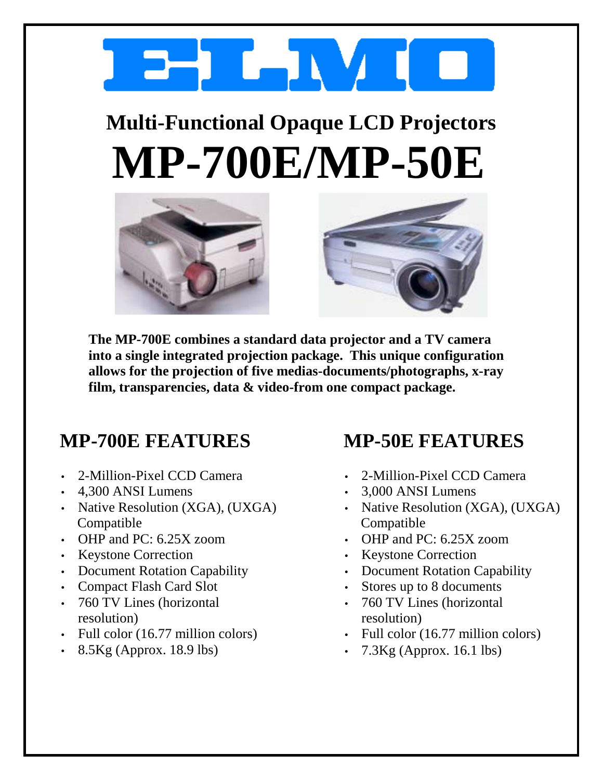

## **Multi-Functional Opaque LCD Projectors MP-700E/MP-50E**





**The MP-700E combines a standard data projector and a TV camera into a single integrated projection package. This unique configuration allows for the projection of five medias-documents/photographs, x-ray film, transparencies, data & video-from one compact package.** 

## **MP-700E FEATURES**

- 2-Million-Pixel CCD Camera
- 4,300 ANSI Lumens
- Native Resolution (XGA), (UXGA) Compatible
- OHP and PC: 6.25X zoom
- Keystone Correction
- Document Rotation Capability
- Compact Flash Card Slot
- 760 TV Lines (horizontal resolution)
- Full color (16.77 million colors)
- $\cdot$  8.5Kg (Approx. 18.9 lbs)

## **MP-50E FEATURES**

- 2-Million-Pixel CCD Camera
- 3,000 ANSI Lumens
- Native Resolution (XGA), (UXGA) Compatible
- OHP and PC: 6.25X zoom
- Keystone Correction
- Document Rotation Capability
- Stores up to 8 documents
- 760 TV Lines (horizontal resolution)
- Full color (16.77 million colors)
- $7.3$ Kg (Approx. 16.1 lbs)